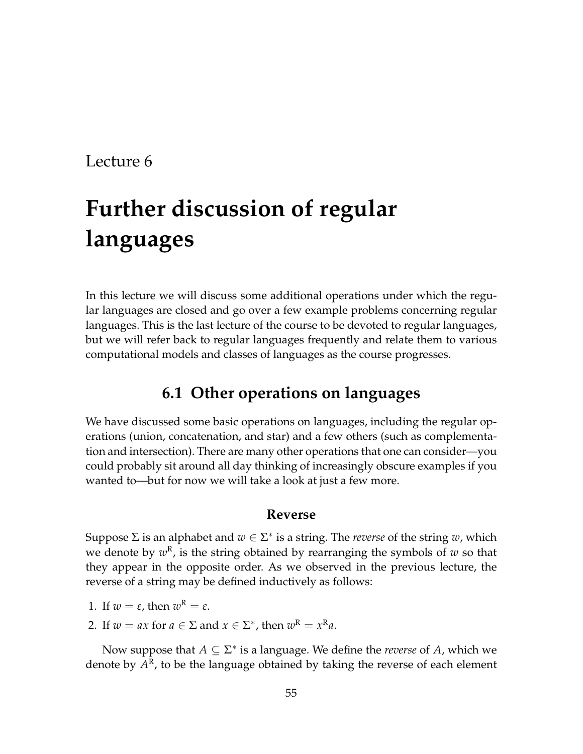# **Further discussion of regular languages**

In this lecture we will discuss some additional operations under which the regular languages are closed and go over a few example problems concerning regular languages. This is the last lecture of the course to be devoted to regular languages, but we will refer back to regular languages frequently and relate them to various computational models and classes of languages as the course progresses.

# **6.1 Other operations on languages**

We have discussed some basic operations on languages, including the regular operations (union, concatenation, and star) and a few others (such as complementation and intersection). There are many other operations that one can consider—you could probably sit around all day thinking of increasingly obscure examples if you wanted to—but for now we will take a look at just a few more.

### **Reverse**

Suppose  $\Sigma$  is an alphabet and  $w \in \Sigma^*$  is a string. The *reverse* of the string  $w$ , which we denote by  $w^{\text{\tiny R}}$ , is the string obtained by rearranging the symbols of  $w$  so that they appear in the opposite order. As we observed in the previous lecture, the reverse of a string may be defined inductively as follows:

- 1. If  $w = \varepsilon$ , then  $w^R = \varepsilon$ .
- 2. If  $w = ax$  for  $a \in \Sigma$  and  $x \in \Sigma^*$ , then  $w^R = x^R a$ .

Now suppose that  $A \subseteq \Sigma^*$  is a language. We define the *reverse* of  $A$ , which we denote by  $A^{\rm R}$ , to be the language obtained by taking the reverse of each element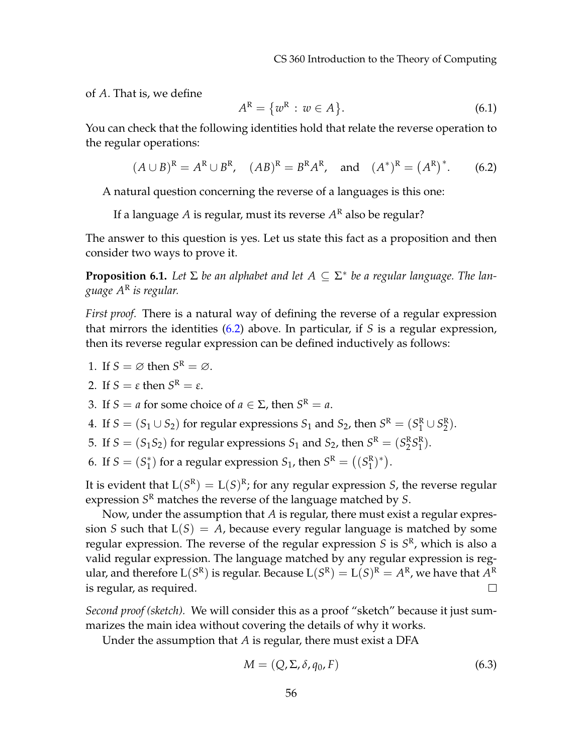CS 360 Introduction to the Theory of Computing

of *A*. That is, we define

$$
A^{\mathcal{R}} = \{w^{\mathcal{R}} : w \in A\}.
$$
\n
$$
(6.1)
$$

You can check that the following identities hold that relate the reverse operation to the regular operations:

<span id="page-1-0"></span>
$$
(A \cup B)^{R} = A^{R} \cup B^{R}
$$
,  $(AB)^{R} = B^{R}A^{R}$ , and  $(A^{*})^{R} = (A^{R})^{*}$ . (6.2)

A natural question concerning the reverse of a languages is this one:

If a language *A* is regular, must its reverse *A* <sup>R</sup> also be regular?

The answer to this question is yes. Let us state this fact as a proposition and then consider two ways to prove it.

**Proposition 6.1.** *Let* Σ *be an alphabet and let A* ⊆ Σ ∗ *be a regular language. The language A*<sup>R</sup> *is regular.*

*First proof.* There is a natural way of defining the reverse of a regular expression that mirrors the identities [\(6.2\)](#page-1-0) above. In particular, if *S* is a regular expression, then its reverse regular expression can be defined inductively as follows:

1. If  $S = \emptyset$  then  $S^R = \emptyset$ .

2. If 
$$
S = \varepsilon
$$
 then  $S^R = \varepsilon$ .

3. If *S* = *a* for some choice of  $a \in \Sigma$ , then  $S^R = a$ .

- 4. If  $S = (S_1 \cup S_2)$  for regular expressions  $S_1$  and  $S_2$ , then  $S^R = (S_1^R \cup S_2^R)$ .
- 5. If  $S = (S_1S_2)$  for regular expressions  $S_1$  and  $S_2$ , then  $S^R = (S_2^R S_1^R)$ .

6. If  $S = (S_1^*$  $S_1$  for a regular expression  $S_1$ , then  $S^R = ((S_1^R)^*)$ .

It is evident that  $L(S^R) = L(S)^R$ ; for any regular expression *S*, the reverse regular expression *S* <sup>R</sup> matches the reverse of the language matched by *S*.

Now, under the assumption that *A* is regular, there must exist a regular expression *S* such that  $L(S) = A$ , because every regular language is matched by some regular expression. The reverse of the regular expression *S* is *S* R , which is also a valid regular expression. The language matched by any regular expression is regular, and therefore  $\mathrm{L}(S^\mathrm{R})$  is regular. Because  $\mathrm{L}(S^\mathrm{R}) = \mathrm{L}(S)^\mathrm{R} = A^\mathrm{R}$ , we have that  $A^\mathrm{R}$ is regular, as required.  $\Box$ 

*Second proof (sketch).* We will consider this as a proof "sketch" because it just summarizes the main idea without covering the details of why it works.

Under the assumption that *A* is regular, there must exist a DFA

$$
M = (Q, \Sigma, \delta, q_0, F) \tag{6.3}
$$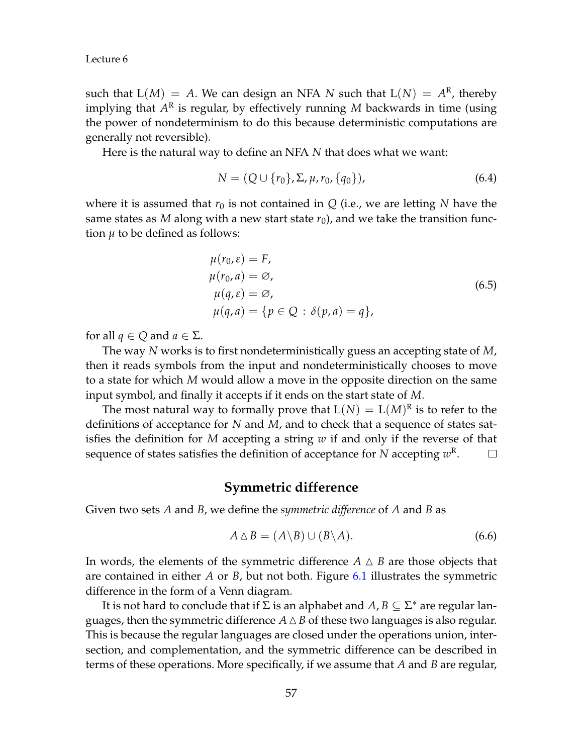such that  $L(M) = A$ . We can design an NFA N such that  $L(N) = A<sup>R</sup>$ , thereby implying that *A* R is regular, by effectively running *M* backwards in time (using the power of nondeterminism to do this because deterministic computations are generally not reversible).

Here is the natural way to define an NFA *N* that does what we want:

$$
N = (Q \cup \{r_0\}, \Sigma, \mu, r_0, \{q_0\}),
$$
\n(6.4)

where it is assumed that  $r_0$  is not contained in  $Q$  (i.e., we are letting  $N$  have the same states as *M* along with a new start state  $r_0$ ), and we take the transition function  $\mu$  to be defined as follows:

$$
\mu(r_0, \varepsilon) = F,
$$
  
\n
$$
\mu(r_0, a) = \emptyset,
$$
  
\n
$$
\mu(q, \varepsilon) = \emptyset,
$$
  
\n
$$
\mu(q, a) = \{p \in Q : \delta(p, a) = q\},
$$
  
\n(6.5)

for all  $q \in Q$  and  $q \in \Sigma$ .

The way *N* works is to first nondeterministically guess an accepting state of *M*, then it reads symbols from the input and nondeterministically chooses to move to a state for which *M* would allow a move in the opposite direction on the same input symbol, and finally it accepts if it ends on the start state of *M*.

The most natural way to formally prove that  $L(N) = L(M)^R$  is to refer to the definitions of acceptance for *N* and *M*, and to check that a sequence of states satisfies the definition for *M* accepting a string *w* if and only if the reverse of that sequence of states satisfies the definition of acceptance for  $N$  accepting  $w^{\rm R}.$  $\Box$ 

## **Symmetric difference**

Given two sets *A* and *B*, we define the *symmetric difference* of *A* and *B* as

$$
A \triangle B = (A \backslash B) \cup (B \backslash A). \tag{6.6}
$$

In words, the elements of the symmetric difference  $A \triangle B$  are those objects that are contained in either *A* or *B*, but not both. Figure [6.1](#page-3-0) illustrates the symmetric difference in the form of a Venn diagram.

It is not hard to conclude that if  $\Sigma$  is an alphabet and  $A$ ,  $B\subseteq \Sigma^*$  are regular languages, then the symmetric difference  $A \Delta B$  of these two languages is also regular. This is because the regular languages are closed under the operations union, intersection, and complementation, and the symmetric difference can be described in terms of these operations. More specifically, if we assume that *A* and *B* are regular,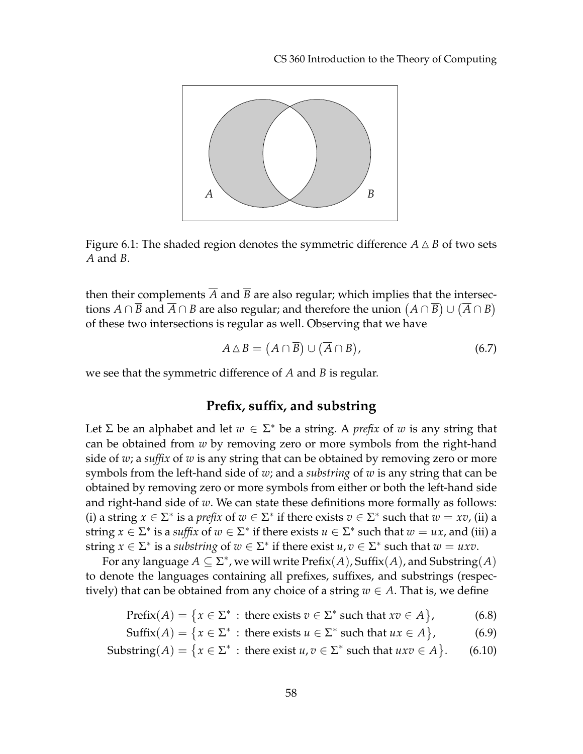CS 360 Introduction to the Theory of Computing



<span id="page-3-0"></span>Figure 6.1: The shaded region denotes the symmetric difference  $A \triangle B$  of two sets *A* and *B*.

then their complements  $\overline{A}$  and  $\overline{B}$  are also regular; which implies that the intersections  $A \cap \overline{B}$  and  $\overline{A} \cap B$  are also regular; and therefore the union  $(A \cap \overline{B}) \cup (\overline{A} \cap B)$ of these two intersections is regular as well. Observing that we have

$$
A \triangle B = (A \cap \overline{B}) \cup (\overline{A} \cap B), \tag{6.7}
$$

we see that the symmetric difference of *A* and *B* is regular.

## **Prefix, suffix, and substring**

Let  $\Sigma$  be an alphabet and let  $w \in \Sigma^*$  be a string. A *prefix* of w is any string that can be obtained from *w* by removing zero or more symbols from the right-hand side of *w*; a *suffix* of *w* is any string that can be obtained by removing zero or more symbols from the left-hand side of *w*; and a *substring* of *w* is any string that can be obtained by removing zero or more symbols from either or both the left-hand side and right-hand side of *w*. We can state these definitions more formally as follows: (i) a string  $x \in \Sigma^*$  is a *prefix* of  $w \in \Sigma^*$  if there exists  $v \in \Sigma^*$  such that  $w = xv$ , (ii) a string  $x \in \Sigma^*$  is a *suffix* of  $w \in \Sigma^*$  if there exists  $u \in \Sigma^*$  such that  $w = ux$ , and (iii) a string  $x \in \Sigma^*$  is a *substring* of  $w \in \Sigma^*$  if there exist  $u, v \in \Sigma^*$  such that  $w = uxv$ .

For any language  $A \subseteq \Sigma^*$ , we will write  $\mathrm{Prefix}(A)$ , Suffix $(A)$ , and Substring $(A)$ to denote the languages containing all prefixes, suffixes, and substrings (respectively) that can be obtained from any choice of a string  $w \in A$ . That is, we define

$$
Prefix(A) = \{x \in \Sigma^* : \text{there exists } v \in \Sigma^* \text{ such that } xv \in A\},\tag{6.8}
$$

 $\text{Suffix}(A) = \{x \in \Sigma^* : \text{there exists } u \in \Sigma^* \text{ such that } ux \in A\}$  $(6.9)$ 

Substring
$$
(A) = \{x \in \Sigma^* : \text{there exist } u, v \in \Sigma^* \text{ such that } uxv \in A\}.
$$
 (6.10)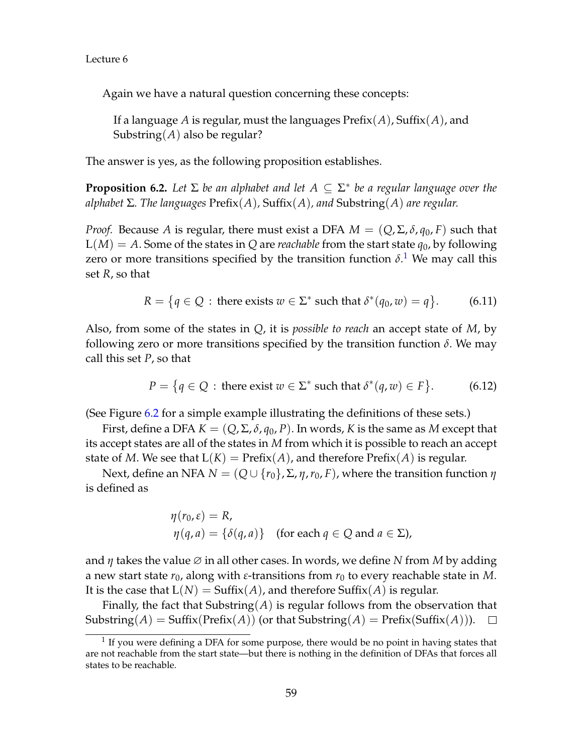Again we have a natural question concerning these concepts:

If a language *A* is regular, must the languages Prefix(*A*), Suffix(*A*), and Substring(*A*) also be regular?

The answer is yes, as the following proposition establishes.

**Proposition 6.2.** *Let* Σ *be an alphabet and let A* ⊆ Σ ∗ *be a regular language over the alphabet* Σ*. The languages* Prefix(*A*)*,* Suffix(*A*)*, and* Substring(*A*) *are regular.*

*Proof.* Because *A* is regular, there must exist a DFA  $M = (Q, \Sigma, \delta, q_0, F)$  such that  $L(M) = A$ . Some of the states in Q are *reachable* from the start state  $q_0$ , by following zero or more transitions specified by the transition function  $\delta$ <sup>[1](#page-4-0)</sup>. We may call this set *R*, so that

$$
R = \{q \in Q : \text{there exists } w \in \Sigma^* \text{ such that } \delta^*(q_0, w) = q\}. \tag{6.11}
$$

Also, from some of the states in *Q*, it is *possible to reach* an accept state of *M*, by following zero or more transitions specified by the transition function  $\delta$ . We may call this set *P*, so that

$$
P = \{ q \in Q : \text{there exist } w \in \Sigma^* \text{ such that } \delta^*(q, w) \in F \}. \tag{6.12}
$$

(See Figure [6.2](#page-5-0) for a simple example illustrating the definitions of these sets.)

First, define a DFA  $K = (Q, \Sigma, \delta, q_0, P)$ . In words, K is the same as M except that its accept states are all of the states in *M* from which it is possible to reach an accept state of *M*. We see that  $L(K) = \text{Prefix}(A)$ , and therefore  $\text{Prefix}(A)$  is regular.

Next, define an NFA *N* =  $(Q ∪ {r_0}, Σ, Σ, r_0, F)$ , where the transition function *η* is defined as

$$
\eta(r_0, \varepsilon) = R,
$$
  
\n
$$
\eta(q, a) = \{\delta(q, a)\} \quad \text{(for each } q \in Q \text{ and } a \in \Sigma),
$$

and *η* takes the value ∅ in all other cases. In words, we define *N* from *M* by adding a new start state  $r_0$ , along with  $\varepsilon$ -transitions from  $r_0$  to every reachable state in M. It is the case that  $L(N) = Suffix(A)$ , and therefore  $Suffix(A)$  is regular.

Finally, the fact that Substring(*A*) is regular follows from the observation that  $Substring(A) = Suffix(Prefix(A))$  (or that  $Substring(A) = prefix(Suffix(A))$ ).  $\Box$ 

<span id="page-4-0"></span> $<sup>1</sup>$  If you were defining a DFA for some purpose, there would be no point in having states that</sup> are not reachable from the start state—but there is nothing in the definition of DFAs that forces all states to be reachable.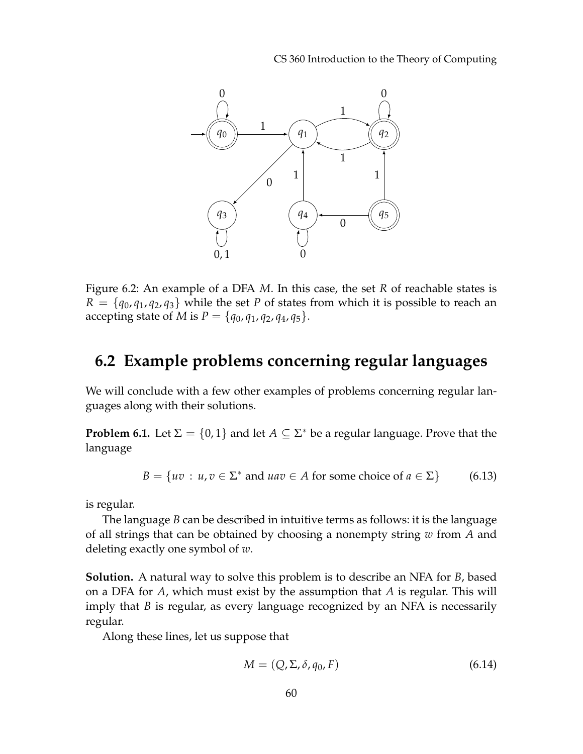CS 360 Introduction to the Theory of Computing



<span id="page-5-0"></span>Figure 6.2: An example of a DFA *M*. In this case, the set *R* of reachable states is  $R = \{q_0, q_1, q_2, q_3\}$  while the set *P* of states from which it is possible to reach an accepting state of *M* is  $P = \{q_0, q_1, q_2, q_4, q_5\}.$ 

## **6.2 Example problems concerning regular languages**

We will conclude with a few other examples of problems concerning regular languages along with their solutions.

**Problem 6.1.** Let  $\Sigma = \{0,1\}$  and let  $A \subseteq \Sigma^*$  be a regular language. Prove that the language

$$
B = \{ uv : u, v \in \Sigma^* \text{ and } uav \in A \text{ for some choice of } a \in \Sigma \}
$$
 (6.13)

is regular.

The language *B* can be described in intuitive terms as follows: it is the language of all strings that can be obtained by choosing a nonempty string *w* from *A* and deleting exactly one symbol of *w*.

**Solution.** A natural way to solve this problem is to describe an NFA for *B*, based on a DFA for *A*, which must exist by the assumption that *A* is regular. This will imply that *B* is regular, as every language recognized by an NFA is necessarily regular.

Along these lines, let us suppose that

$$
M = (Q, \Sigma, \delta, q_0, F) \tag{6.14}
$$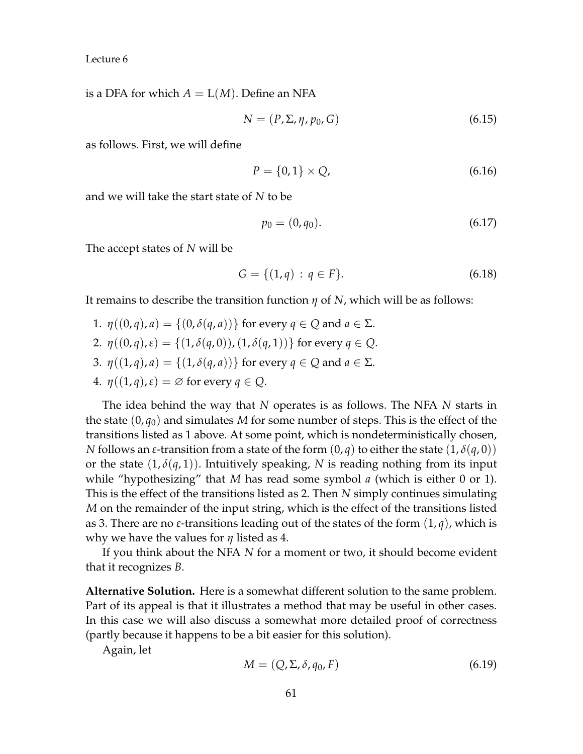is a DFA for which  $A = L(M)$ . Define an NFA

$$
N = (P, \Sigma, \eta, p_0, G) \tag{6.15}
$$

as follows. First, we will define

$$
P = \{0, 1\} \times Q, \tag{6.16}
$$

and we will take the start state of *N* to be

$$
p_0 = (0, q_0). \tag{6.17}
$$

The accept states of *N* will be

$$
G = \{(1, q) : q \in F\}.
$$
\n(6.18)

It remains to describe the transition function *η* of *N*, which will be as follows:

1.  $\eta((0,q),a) = \{(0,\delta(q,a))\}$  for every  $q \in Q$  and  $a \in \Sigma$ . 2.  $\eta((0, q), \varepsilon) = \{(1, \delta(q, 0)), (1, \delta(q, 1))\}$  for every  $q \in Q$ . 3.  $\eta((1,q),a) = \{(1,\delta(q,a))\}$  for every  $q \in Q$  and  $a \in \Sigma$ . 4.  $\eta((1,q), \varepsilon) = \emptyset$  for every  $q \in Q$ .

The idea behind the way that *N* operates is as follows. The NFA *N* starts in the state  $(0, q_0)$  and simulates M for some number of steps. This is the effect of the transitions listed as 1 above. At some point, which is nondeterministically chosen, *N* follows an *ε*-transition from a state of the form  $(0, q)$  to either the state  $(1, \delta(q, 0))$ or the state  $(1, \delta(q, 1))$ . Intuitively speaking, *N* is reading nothing from its input while "hypothesizing" that *M* has read some symbol *a* (which is either 0 or 1). This is the effect of the transitions listed as 2. Then *N* simply continues simulating *M* on the remainder of the input string, which is the effect of the transitions listed as 3. There are no *ε*-transitions leading out of the states of the form (1, *q*), which is why we have the values for *η* listed as 4.

If you think about the NFA *N* for a moment or two, it should become evident that it recognizes *B*.

**Alternative Solution.** Here is a somewhat different solution to the same problem. Part of its appeal is that it illustrates a method that may be useful in other cases. In this case we will also discuss a somewhat more detailed proof of correctness (partly because it happens to be a bit easier for this solution).

Again, let

$$
M = (Q, \Sigma, \delta, q_0, F) \tag{6.19}
$$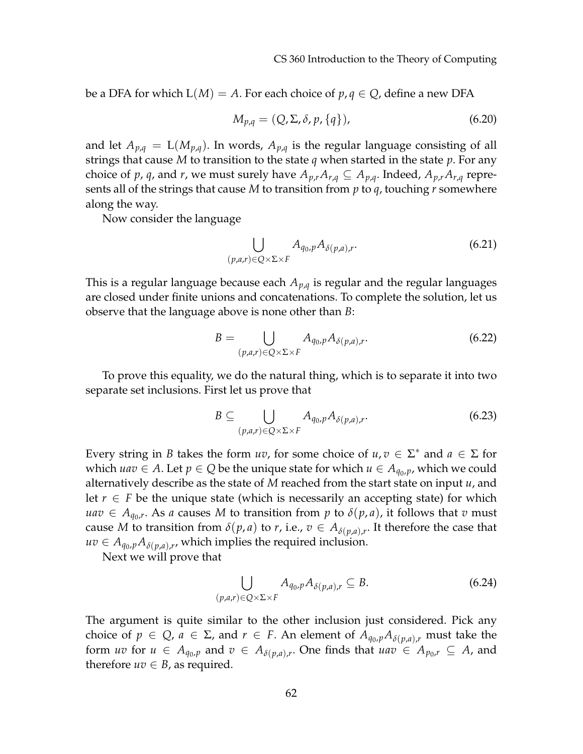be a DFA for which  $L(M) = A$ . For each choice of  $p, q \in Q$ , define a new DFA

$$
M_{p,q} = (Q, \Sigma, \delta, p, \{q\}), \qquad (6.20)
$$

and let  $A_{p,q} = L(M_{p,q})$ . In words,  $A_{p,q}$  is the regular language consisting of all strings that cause *M* to transition to the state *q* when started in the state *p*. For any choice of *p*, *q*, and *r*, we must surely have  $A_{p,r}A_{r,q} \subseteq A_{p,q}$ . Indeed,  $A_{p,r}A_{r,q}$  represents all of the strings that cause *M* to transition from *p* to *q*, touching *r* somewhere along the way.

Now consider the language

$$
\bigcup_{(p,a,r)\in Q\times\Sigma\times F} A_{q_0,p} A_{\delta(p,a),r}.
$$
\n(6.21)

This is a regular language because each *Ap*,*<sup>q</sup>* is regular and the regular languages are closed under finite unions and concatenations. To complete the solution, let us observe that the language above is none other than *B*:

$$
B = \bigcup_{(p,a,r)\in Q\times\Sigma\times F} A_{q_0,p} A_{\delta(p,a),r}.
$$
 (6.22)

To prove this equality, we do the natural thing, which is to separate it into two separate set inclusions. First let us prove that

$$
B \subseteq \bigcup_{(p,a,r)\in Q\times\Sigma\times F} A_{q_0,p} A_{\delta(p,a),r}.
$$
 (6.23)

Every string in *B* takes the form *uv*, for some choice of  $u, v \in \Sigma^*$  and  $a \in \Sigma$  for *which*  $uav$  ∈ *A*. Let *p* ∈ *Q* be the unique state for which *u* ∈  $A_{q_0,p}$ , which we could alternatively describe as the state of *M* reached from the start state on input *u*, and let *r* ∈ *F* be the unique state (which is necessarily an accepting state) for which  $u$ *av*  $\in$   $A_{q_0,r}$ . As *a* causes  $M$  to transition from  $p$  to  $\delta(p,a)$ , it follows that  $v$  must cause *M* to transition from  $\delta(p, a)$  to *r*, i.e.,  $v \in A_{\delta(p, a), r}$ . It therefore the case that  $uv \in A_{q_0,p}A_{\delta(p,a),r}$ , which implies the required inclusion.

Next we will prove that

$$
\bigcup_{(p,a,r)\in Q\times\Sigma\times F} A_{q_0,p} A_{\delta(p,a),r} \subseteq B.
$$
\n(6.24)

The argument is quite similar to the other inclusion just considered. Pick any choice of  $p \in Q$ ,  $a \in \Sigma$ , and  $r \in F$ . An element of  $A_{q_0,p}A_{\delta(p,a),r}$  must take the form *uv* for  $u \in A_{q_0,p}$  and  $v \in A_{\delta(p,a),r}$ . One finds that  $uav \in A_{p_0,r} \subseteq A$ , and therefore  $uv \in B$ , as required.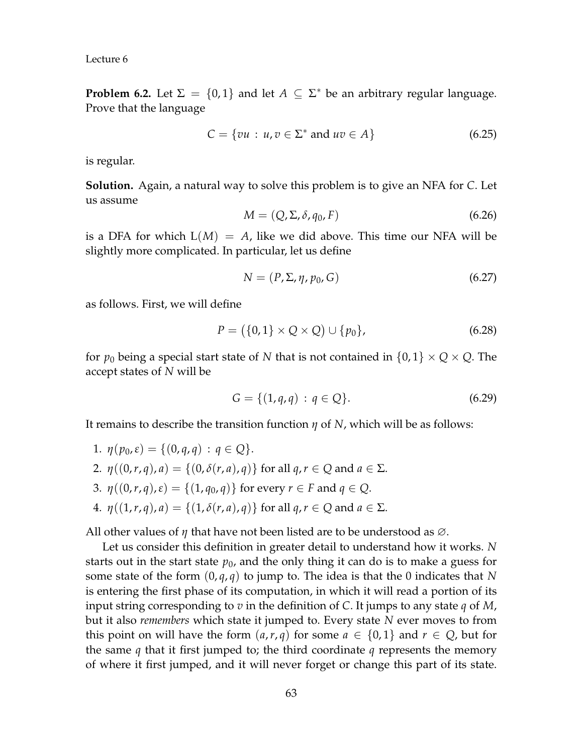**Problem 6.2.** Let  $\Sigma = \{0,1\}$  and let  $A \subseteq \Sigma^*$  be an arbitrary regular language. Prove that the language

$$
C = \{vu : u, v \in \Sigma^* \text{ and } uv \in A\}
$$
 (6.25)

is regular.

**Solution.** Again, a natural way to solve this problem is to give an NFA for *C*. Let us assume

$$
M = (Q, \Sigma, \delta, q_0, F) \tag{6.26}
$$

is a DFA for which  $L(M) = A$ , like we did above. This time our NFA will be slightly more complicated. In particular, let us define

$$
N = (P, \Sigma, \eta, p_0, G) \tag{6.27}
$$

as follows. First, we will define

$$
P = (\{0,1\} \times Q \times Q) \cup \{p_0\},\tag{6.28}
$$

for  $p_0$  being a special start state of *N* that is not contained in  $\{0,1\} \times Q \times Q$ . The accept states of *N* will be

$$
G = \{(1, q, q) : q \in Q\}.
$$
\n(6.29)

It remains to describe the transition function *η* of *N*, which will be as follows:

1.  $\eta(p_0, \varepsilon) = \{(0, q, q) : q \in Q\}.$ 2.  $\eta((0,r,q),a) = \{(0,\delta(r,a),q)\}\$ for all  $q, r \in Q$  and  $a \in \Sigma$ . 3.  $\eta((0, r, q), \varepsilon) = \{(1, q_0, q)\}$  for every  $r \in F$  and  $q \in Q$ . 4.  $\eta((1,r,q),a) = \{(1,\delta(r,a),q)\}\$ for all  $q, r \in Q$  and  $a \in \Sigma$ .

All other values of *η* that have not been listed are to be understood as ∅.

Let us consider this definition in greater detail to understand how it works. *N* starts out in the start state  $p_0$ , and the only thing it can do is to make a guess for some state of the form  $(0, q, q)$  to jump to. The idea is that the 0 indicates that N is entering the first phase of its computation, in which it will read a portion of its input string corresponding to *v* in the definition of *C*. It jumps to any state *q* of *M*, but it also *remembers* which state it jumped to. Every state *N* ever moves to from this point on will have the form  $(a, r, q)$  for some  $a \in \{0, 1\}$  and  $r \in Q$ , but for the same *q* that it first jumped to; the third coordinate *q* represents the memory of where it first jumped, and it will never forget or change this part of its state.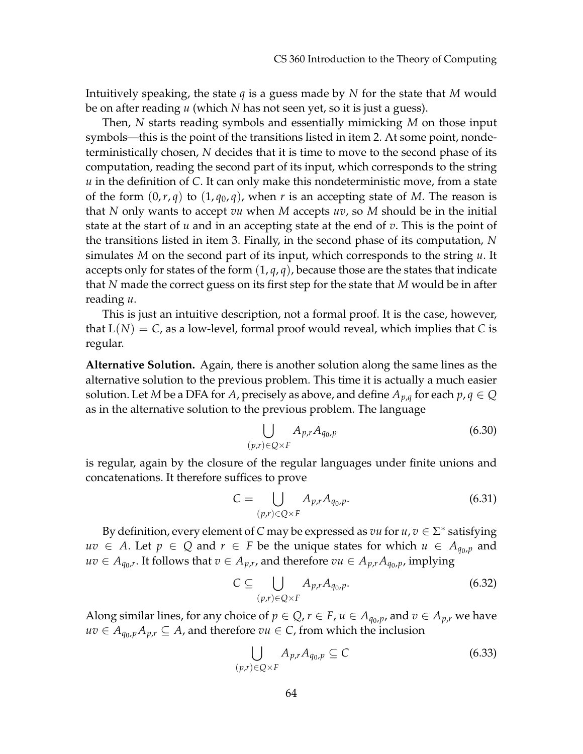Intuitively speaking, the state *q* is a guess made by *N* for the state that *M* would be on after reading *u* (which *N* has not seen yet, so it is just a guess).

Then, *N* starts reading symbols and essentially mimicking *M* on those input symbols—this is the point of the transitions listed in item 2. At some point, nondeterministically chosen, *N* decides that it is time to move to the second phase of its computation, reading the second part of its input, which corresponds to the string *u* in the definition of *C*. It can only make this nondeterministic move, from a state of the form  $(0, r, q)$  to  $(1, q_0, q)$ , when *r* is an accepting state of *M*. The reason is that *N* only wants to accept *vu* when *M* accepts *uv*, so *M* should be in the initial state at the start of *u* and in an accepting state at the end of *v*. This is the point of the transitions listed in item 3. Finally, in the second phase of its computation, *N* simulates *M* on the second part of its input, which corresponds to the string *u*. It accepts only for states of the form  $(1, q, q)$ , because those are the states that indicate that *N* made the correct guess on its first step for the state that *M* would be in after reading *u*.

This is just an intuitive description, not a formal proof. It is the case, however, that  $L(N) = C$ , as a low-level, formal proof would reveal, which implies that *C* is regular.

**Alternative Solution.** Again, there is another solution along the same lines as the alternative solution to the previous problem. This time it is actually a much easier solution. Let *M* be a DFA for *A*, precisely as above, and define  $A_{p,q}$  for each  $p,q \in Q$ as in the alternative solution to the previous problem. The language

$$
\bigcup_{(p,r)\in Q\times F} A_{p,r} A_{q_0,p} \tag{6.30}
$$

is regular, again by the closure of the regular languages under finite unions and concatenations. It therefore suffices to prove

$$
C = \bigcup_{(p,r)\in Q\times F} A_{p,r} A_{q_0,p}.
$$
 (6.31)

By definition, every element of *C* may be expressed as  $vu$  for  $u, v \in \Sigma^*$  satisfying *uv* ∈ *A*. Let *p* ∈ *Q* and *r* ∈ *F* be the unique states for which  $u \text{ } \in A_{q_0,p}$  and  $uv \in A_{q_0,r}$ . It follows that  $v \in A_{p,r}$ , and therefore  $vu \in A_{p,r}A_{q_0,p}$ , implying

$$
C \subseteq \bigcup_{(p,r)\in Q\times F} A_{p,r} A_{q_0,p}.\tag{6.32}
$$

Along similar lines, for any choice of  $p \in Q$ ,  $r \in F$ ,  $u \in A_{q_0,p}$ , and  $v \in A_{p,r}$  we have *uv* ∈  $A_{q_0,p}A_{p,r}$  ⊆ *A*, and therefore *vu* ∈ *C*, from which the inclusion

$$
\bigcup_{(p,r)\in Q\times F} A_{p,r} A_{q_0,p} \subseteq C \tag{6.33}
$$